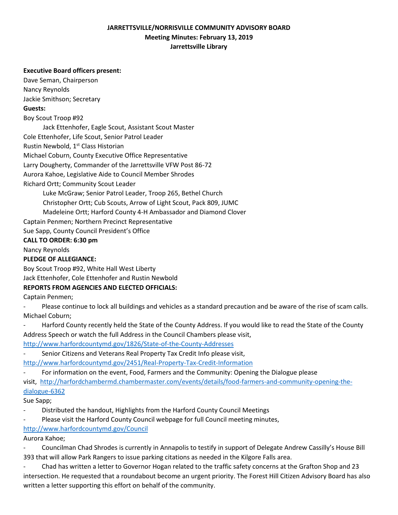## **JARRETTSVILLE/NORRISVILLE COMMUNITY ADVISORY BOARD Meeting Minutes: February 13, 2019 Jarrettsville Library**

#### **Executive Board officers present:**

Dave Seman, Chairperson Nancy Reynolds

Jackie Smithson; Secretary

#### **Guests:**

Boy Scout Troop #92

Jack Ettenhofer, Eagle Scout, Assistant Scout Master

Cole Ettenhofer, Life Scout, Senior Patrol Leader

Rustin Newbold, 1<sup>st</sup> Class Historian

Michael Coburn, County Executive Office Representative

Larry Dougherty, Commander of the Jarrettsville VFW Post 86-72

Aurora Kahoe, Legislative Aide to Council Member Shrodes

Richard Ortt; Community Scout Leader

Luke McGraw; Senior Patrol Leader, Troop 265, Bethel Church

Christopher Ortt; Cub Scouts, Arrow of Light Scout, Pack 809, JUMC

Madeleine Ortt; Harford County 4-H Ambassador and Diamond Clover

Captain Penmen; Northern Precinct Representative

Sue Sapp, County Council President's Office

### **CALL TO ORDER: 6:30 pm**

Nancy Reynolds

## **PLEDGE OF ALLEGIANCE:**

Boy Scout Troop #92, White Hall West Liberty

Jack Ettenhofer, Cole Ettenhofer and Rustin Newbold

## **REPORTS FROM AGENCIES AND ELECTED OFFICIALS:**

Captain Penmen;

Please continue to lock all buildings and vehicles as a standard precaution and be aware of the rise of scam calls. Michael Coburn;

Harford County recently held the State of the County Address. If you would like to read the State of the County Address Speech or watch the full Address in the Council Chambers please visit,

<http://www.harfordcountymd.gov/1826/State-of-the-County-Addresses>

Senior Citizens and Veterans Real Property Tax Credit Info please visit,

<http://www.harfordcountymd.gov/2451/Real-Property-Tax-Credit-Information>

For information on the event, Food, Farmers and the Community: Opening the Dialogue please

visit, [http://harfordchambermd.chambermaster.com/events/details/food-farmers-and-community-opening-the](http://harfordchambermd.chambermaster.com/events/details/food-farmers-and-community-opening-the-dialogue-6362)[dialogue-6362](http://harfordchambermd.chambermaster.com/events/details/food-farmers-and-community-opening-the-dialogue-6362)

Sue Sapp;

- Distributed the handout, Highlights from the Harford County Council Meetings
- Please visit the Harford County Council webpage for full Council meeting minutes,

# <http://www.harfordcountymd.gov/Council>

Aurora Kahoe;

- Councilman Chad Shrodes is currently in Annapolis to testify in support of Delegate Andrew Cassilly's House Bill 393 that will allow Park Rangers to issue parking citations as needed in the Kilgore Falls area.

- Chad has written a letter to Governor Hogan related to the traffic safety concerns at the Grafton Shop and 23 intersection. He requested that a roundabout become an urgent priority. The Forest Hill Citizen Advisory Board has also written a letter supporting this effort on behalf of the community.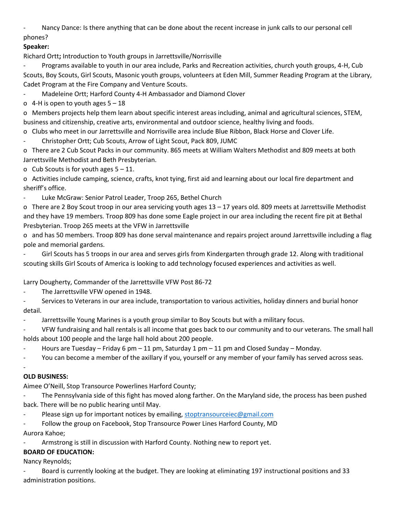- Nancy Dance: Is there anything that can be done about the recent increase in junk calls to our personal cell phones?

## **Speaker:**

Richard Ortt**;** Introduction to Youth groups in Jarrettsville/Norrisville

- Programs available to youth in our area include, Parks and Recreation activities, church youth groups, 4-H, Cub Scouts, Boy Scouts, Girl Scouts, Masonic youth groups, volunteers at Eden Mill, Summer Reading Program at the Library, Cadet Program at the Fire Company and Venture Scouts.

Madeleine Ortt; Harford County 4-H Ambassador and Diamond Clover

o 4-H is open to youth ages  $5 - 18$ 

o Members projects help them learn about specific interest areas including, animal and agricultural sciences, STEM, business and citizenship, creative arts, environmental and outdoor science, healthy living and foods.

o Clubs who meet in our Jarrettsville and Norrisville area include Blue Ribbon, Black Horse and Clover Life.

Christopher Ortt; Cub Scouts, Arrow of Light Scout, Pack 809, JUMC

o There are 2 Cub Scout Packs in our community. 865 meets at William Walters Methodist and 809 meets at both Jarrettsville Methodist and Beth Presbyterian.

o Cub Scouts is for youth ages  $5 - 11$ .

o Activities include camping, science, crafts, knot tying, first aid and learning about our local fire department and sheriff's office.

Luke McGraw: Senior Patrol Leader, Troop 265, Bethel Church

o There are 2 Boy Scout troop in our area servicing youth ages 13 – 17 years old. 809 meets at Jarrettsville Methodist and they have 19 members. Troop 809 has done some Eagle project in our area including the recent fire pit at Bethal Presbyterian. Troop 265 meets at the VFW in Jarrettsville

o and has 50 members. Troop 809 has done serval maintenance and repairs project around Jarrettsville including a flag pole and memorial gardens.

Girl Scouts has 5 troops in our area and serves girls from Kindergarten through grade 12. Along with traditional scouting skills Girl Scouts of America is looking to add technology focused experiences and activities as well.

Larry Dougherty, Commander of the Jarrettsville VFW Post 86-72

The Jarrettsville VFW opened in 1948.

- Services to Veterans in our area include, transportation to various activities, holiday dinners and burial honor detail.

- Jarrettsville Young Marines is a youth group similar to Boy Scouts but with a military focus.

- VFW fundraising and hall rentals is all income that goes back to our community and to our veterans. The small hall holds about 100 people and the large hall hold about 200 people.

Hours are Tuesday – Friday 6 pm – 11 pm, Saturday 1 pm – 11 pm and Closed Sunday – Monday.

You can become a member of the axillary if you, yourself or any member of your family has served across seas.

# -

**OLD BUSINESS:**

Aimee O'Neill, Stop Transource Powerlines Harford County;

The Pennsylvania side of this fight has moved along farther. On the Maryland side, the process has been pushed back. There will be no public hearing until May.

- Please sign up for important notices by emailing, [stoptransourceiec@gmail.com](mailto:stoptransourceiec@gmail.com)
- Follow the group on Facebook, Stop Transource Power Lines Harford County, MD Aurora Kahoe;
- Armstrong is still in discussion with Harford County. Nothing new to report yet.

# **BOARD OF EDUCATION:**

Nancy Reynolds;

- Board is currently looking at the budget. They are looking at eliminating 197 instructional positions and 33 administration positions.